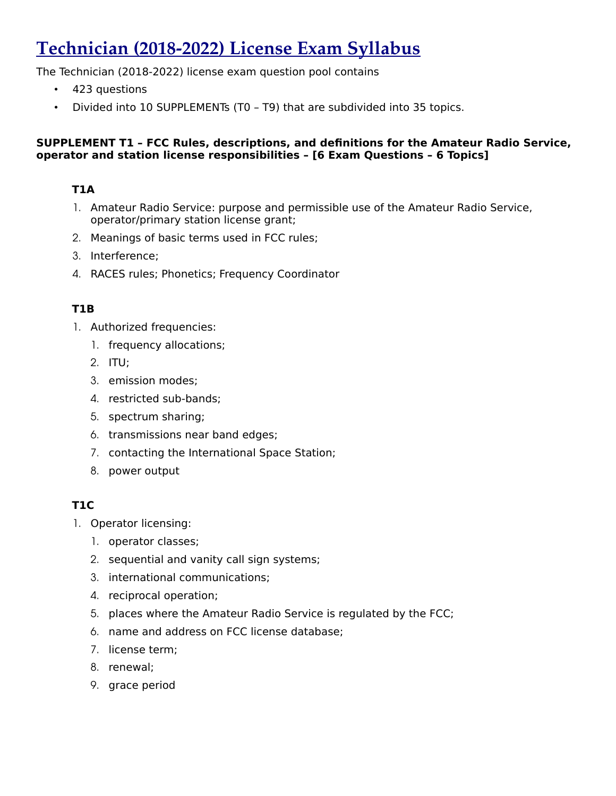# **Technician (2018-2022) License Exam Syllabus**

The Technician (2018-2022) license exam question pool contains

- 423 questions
- Divided into 10 SUPPLEMENTs (T0 T9) that are subdivided into 35 topics.

#### **SUPPLEMENT T1 – FCC Rules, descriptions, and definitions for the Amateur Radio Service, operator and station license responsibilities – [6 Exam Questions – 6 Topics]**

# **T1A**

- 1. Amateur Radio Service: purpose and permissible use of the Amateur Radio Service, operator/primary station license grant;
- 2. Meanings of basic terms used in FCC rules;
- 3. Interference;
- 4. RACES rules; Phonetics; Frequency Coordinator

# **T1B**

- 1. Authorized frequencies:
	- 1. frequency allocations;
	- 2. ITU;
	- 3. emission modes;
	- 4. restricted sub-bands;
	- 5. spectrum sharing;
	- 6. transmissions near band edges;
	- 7. contacting the International Space Station;
	- 8. power output

# **T1C**

- 1. Operator licensing:
	- 1. operator classes;
	- 2. sequential and vanity call sign systems;
	- 3. international communications;
	- 4. reciprocal operation;
	- 5. places where the Amateur Radio Service is regulated by the FCC;
	- 6. name and address on FCC license database;
	- 7. license term;
	- 8. renewal;
	- 9. grace period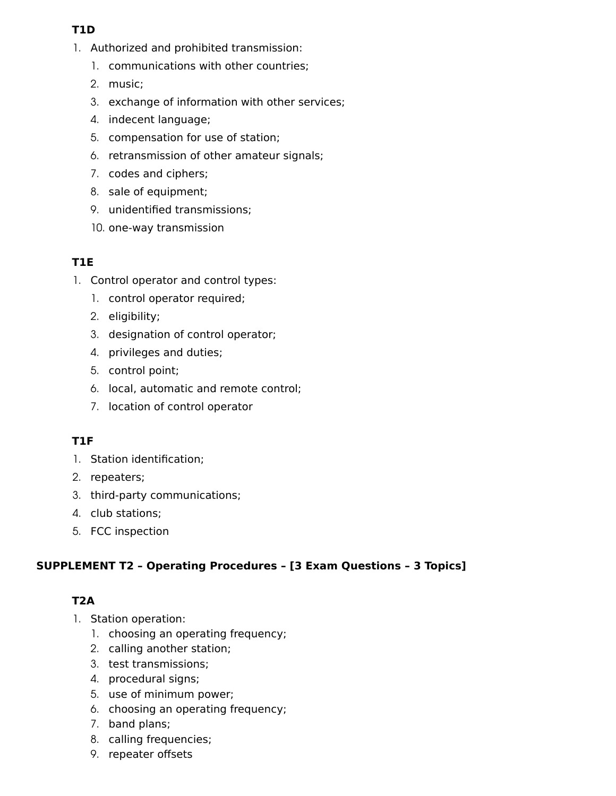## **T1D**

- 1. Authorized and prohibited transmission:
	- 1. communications with other countries;
	- 2. music;
	- 3. exchange of information with other services;
	- 4. indecent language;
	- 5. compensation for use of station;
	- 6. retransmission of other amateur signals;
	- 7. codes and ciphers;
	- 8. sale of equipment;
	- 9. unidentified transmissions;
	- 10. one-way transmission

# **T1E**

- 1. Control operator and control types:
	- 1. control operator required;
	- 2. eligibility;
	- 3. designation of control operator;
	- 4. privileges and duties;
	- 5. control point;
	- 6. local, automatic and remote control;
	- 7. location of control operator

# **T1F**

- 1. Station identification;
- 2. repeaters;
- 3. third-party communications;
- 4. club stations;
- 5. FCC inspection

# **SUPPLEMENT T2 – Operating Procedures – [3 Exam Questions – 3 Topics]**

# **T2A**

- 1. Station operation:
	- 1. choosing an operating frequency;
	- 2. calling another station;
	- 3. test transmissions;
	- 4. procedural signs;
	- 5. use of minimum power;
	- 6. choosing an operating frequency;
	- 7. band plans;
	- 8. calling frequencies;
	- 9. repeater offsets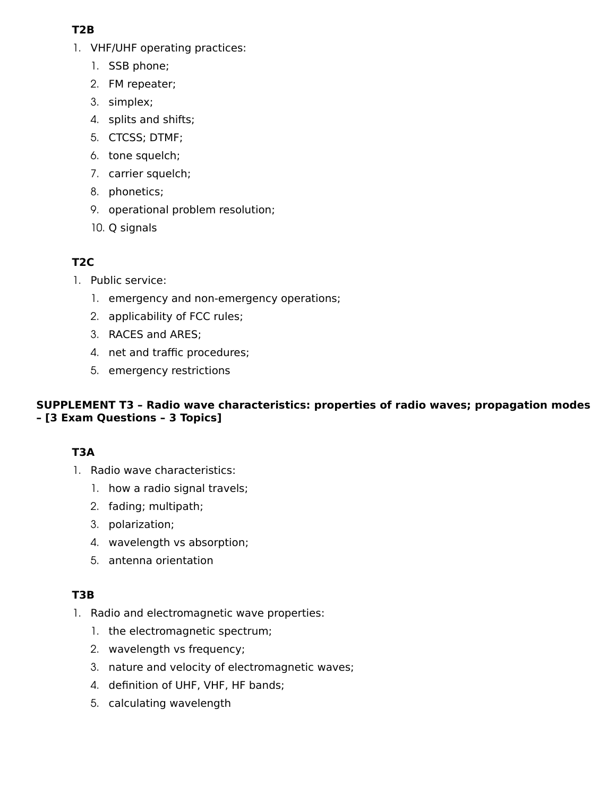# **T2B**

- 1. VHF/UHF operating practices:
	- 1. SSB phone;
	- 2. FM repeater;
	- 3. simplex;
	- 4. splits and shifts;
	- 5. CTCSS; DTMF;
	- 6. tone squelch;
	- 7. carrier squelch;
	- 8. phonetics;
	- 9. operational problem resolution;
	- 10. Q signals

# **T2C**

- 1. Public service:
	- 1. emergency and non-emergency operations;
	- 2. applicability of FCC rules;
	- 3. RACES and ARES;
	- 4. net and traffic procedures;
	- 5. emergency restrictions

#### **SUPPLEMENT T3 – Radio wave characteristics: properties of radio waves; propagation modes – [3 Exam Questions – 3 Topics]**

# **T3A**

- 1. Radio wave characteristics:
	- 1. how a radio signal travels;
	- 2. fading; multipath;
	- 3. polarization;
	- 4. wavelength vs absorption;
	- 5. antenna orientation

# **T3B**

- 1. Radio and electromagnetic wave properties:
	- 1. the electromagnetic spectrum;
	- 2. wavelength vs frequency;
	- 3. nature and velocity of electromagnetic waves;
	- 4. definition of UHF, VHF, HF bands;
	- 5. calculating wavelength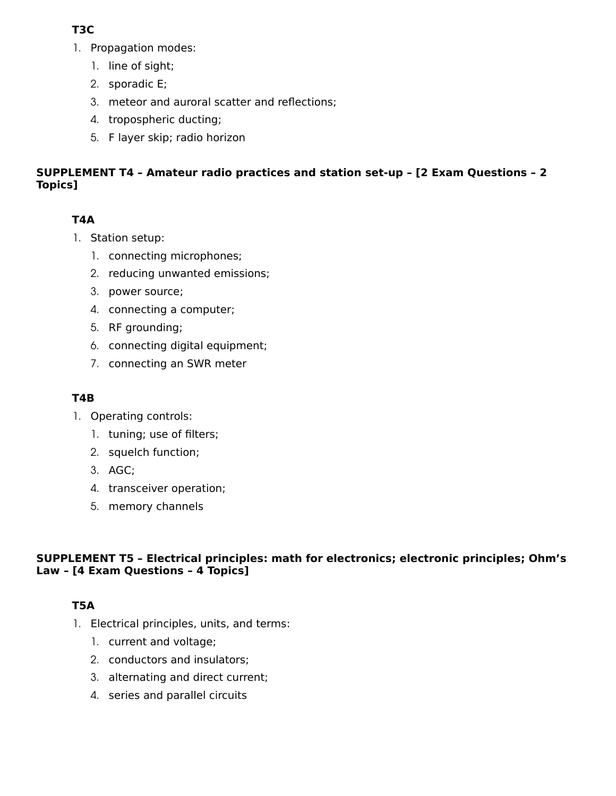# **T3C**

- 1. Propagation modes:
	- 1. line of sight;
	- 2. sporadic E;
	- 3. meteor and auroral scatter and reflections;
	- 4. tropospheric ducting;
	- 5. F layer skip; radio horizon

# **SUPPLEMENT T4 – Amateur radio practices and station set-up – [2 Exam Questions – 2 Topics]**

# **T4A**

- 1. Station setup:
	- 1. connecting microphones;
	- 2. reducing unwanted emissions;
	- 3. power source;
	- 4. connecting a computer;
	- 5. RF grounding;
	- 6. connecting digital equipment;
	- 7. connecting an SWR meter

# **T4B**

- 1. Operating controls:
	- 1. tuning; use of filters;
	- 2. squelch function;
	- 3. AGC;
	- 4. transceiver operation;
	- 5. memory channels

#### **SUPPLEMENT T5 – Electrical principles: math for electronics; electronic principles; Ohm's Law – [4 Exam Questions – 4 Topics]**

# **T5A**

- 1. Electrical principles, units, and terms:
	- 1. current and voltage;
	- 2. conductors and insulators;
	- 3. alternating and direct current;
	- 4. series and parallel circuits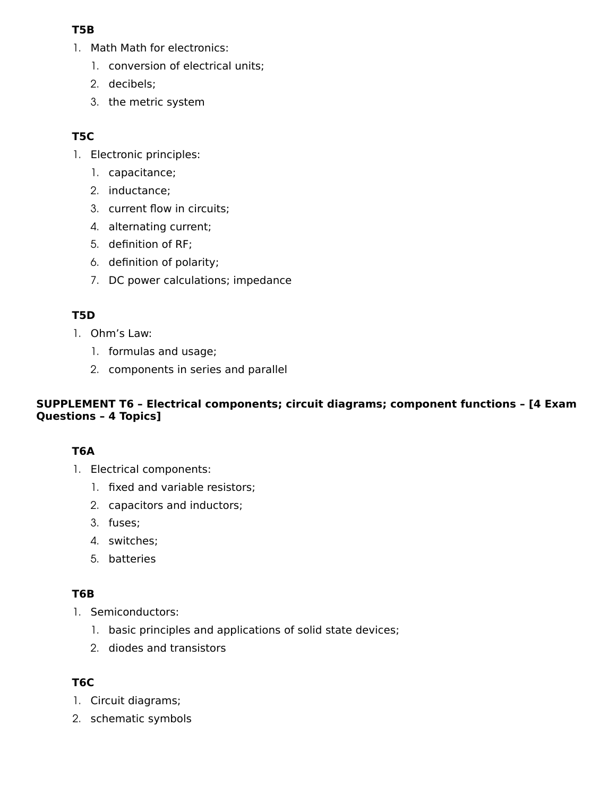#### **T5B**

- 1. Math Math for electronics:
	- 1. conversion of electrical units;
	- 2. decibels;
	- 3. the metric system

# **T5C**

- 1. Electronic principles:
	- 1. capacitance;
	- 2. inductance;
	- 3. current flow in circuits;
	- 4. alternating current;
	- 5. definition of RF;
	- 6. definition of polarity;
	- 7. DC power calculations; impedance

# **T5D**

- 1. Ohm's Law:
	- 1. formulas and usage;
	- 2. components in series and parallel

#### **SUPPLEMENT T6 – Electrical components; circuit diagrams; component functions – [4 Exam Questions – 4 Topics]**

# **T6A**

- 1. Electrical components:
	- 1. fixed and variable resistors;
	- 2. capacitors and inductors;
	- 3. fuses;
	- 4. switches;
	- 5. batteries

# **T6B**

- 1. Semiconductors:
	- 1. basic principles and applications of solid state devices;
	- 2. diodes and transistors

# **T6C**

- 1. Circuit diagrams;
- 2. schematic symbols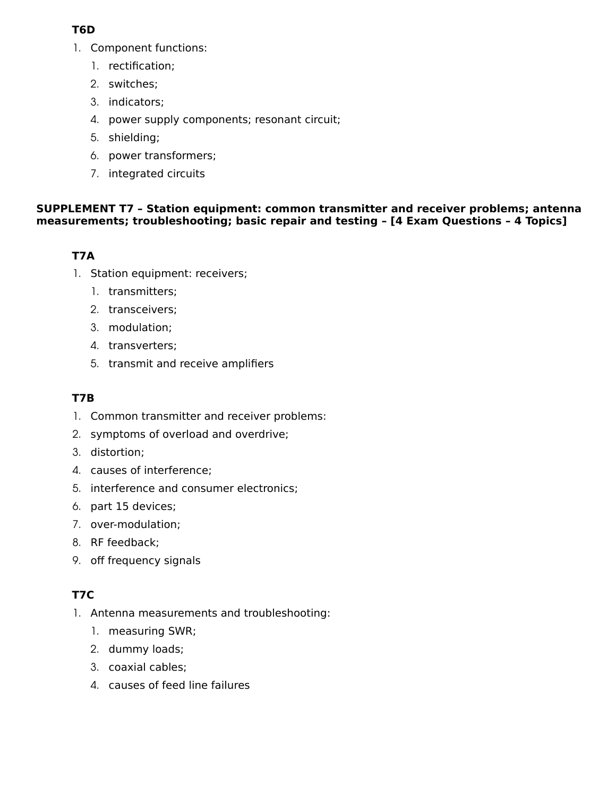#### **T6D**

- 1. Component functions:
	- 1. rectification;
	- 2. switches;
	- 3. indicators;
	- 4. power supply components; resonant circuit;
	- 5. shielding;
	- 6. power transformers;
	- 7. integrated circuits

#### **SUPPLEMENT T7 – Station equipment: common transmitter and receiver problems; antenna measurements; troubleshooting; basic repair and testing – [4 Exam Questions – 4 Topics]**

# **T7A**

- 1. Station equipment: receivers;
	- 1. transmitters;
	- 2. transceivers;
	- 3. modulation;
	- 4. transverters;
	- 5. transmit and receive amplifiers

# **T7B**

- 1. Common transmitter and receiver problems:
- 2. symptoms of overload and overdrive;
- 3. distortion;
- 4. causes of interference;
- 5. interference and consumer electronics;
- 6. part 15 devices;
- 7. over-modulation;
- 8. RF feedback;
- 9. off frequency signals

# **T7C**

- 1. Antenna measurements and troubleshooting:
	- 1. measuring SWR;
	- 2. dummy loads;
	- 3. coaxial cables;
	- 4. causes of feed line failures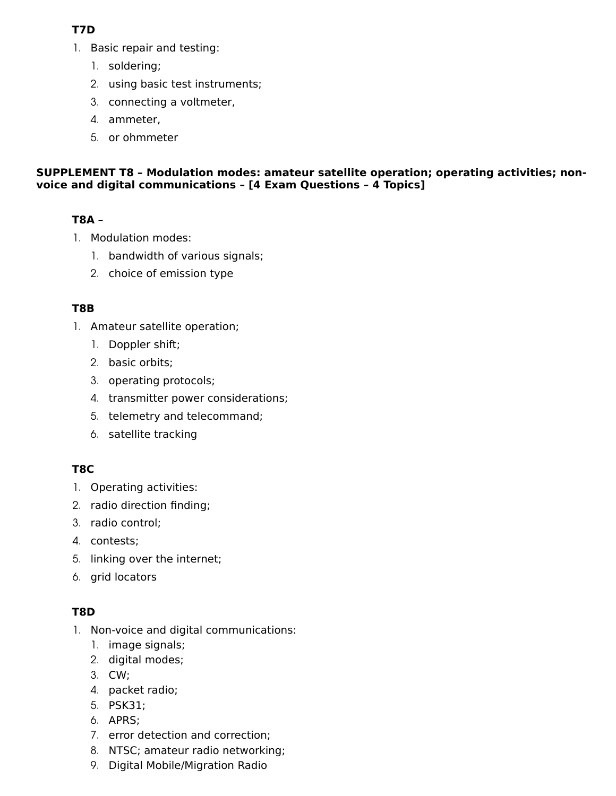# **T7D**

- 1. Basic repair and testing:
	- 1. soldering;
	- 2. using basic test instruments;
	- 3. connecting a voltmeter,
	- 4. ammeter,
	- 5. or ohmmeter

#### **SUPPLEMENT T8 – Modulation modes: amateur satellite operation; operating activities; nonvoice and digital communications – [4 Exam Questions – 4 Topics]**

# **T8A** –

- 1. Modulation modes:
	- 1. bandwidth of various signals;
	- 2. choice of emission type

#### **T8B**

- 1. Amateur satellite operation;
	- 1. Doppler shift;
	- 2. basic orbits;
	- 3. operating protocols;
	- 4. transmitter power considerations;
	- 5. telemetry and telecommand;
	- 6. satellite tracking

# **T8C**

- 1. Operating activities:
- 2. radio direction finding;
- 3. radio control;
- 4. contests;
- 5. linking over the internet;
- 6. grid locators

# **T8D**

- 1. Non-voice and digital communications:
	- 1. image signals;
	- 2. digital modes;
	- 3. CW;
	- 4. packet radio;
	- 5. PSK31;
	- 6. APRS;
	- 7. error detection and correction;
	- 8. NTSC; amateur radio networking;
	- 9. Digital Mobile/Migration Radio